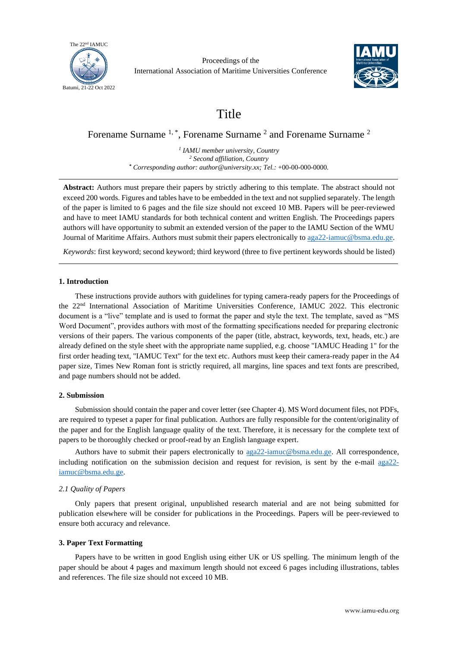

Proceedings of the International Association of Maritime Universities Conference



# Title

Forename Surname <sup>1, \*</sup>, Forename Surname <sup>2</sup> and Forename Surname <sup>2</sup>

*1 IAMU member university, Country <sup>2</sup> Second affiliation, Country \* Corresponding author: author@university.xx; Tel.:* +00-00-000-0000*.*

**Abstract:** Authors must prepare their papers by strictly adhering to this template. The abstract should not exceed 200 words. Figures and tables have to be embedded in the text and not supplied separately. The length of the paper is limited to 6 pages and the file size should not exceed 10 MB. Papers will be peer-reviewed and have to meet IAMU standards for both technical content and written English. The Proceedings papers authors will have opportunity to submit an extended version of the paper to the IAMU Section of the WMU Journal of Maritime Affairs. Authors must submit their papers electronically to [aga22-iamuc@bsma.edu.ge.](mailto:aga22-iamuc@bsma.edu.ge)

*Keywords*: first keyword; second keyword; third keyword (three to five pertinent keywords should be listed)

## **1. Introduction**

These instructions provide authors with guidelines for typing camera-ready papers for the Proceedings of the 22<sup>nd</sup> International Association of Maritime Universities Conference, IAMUC 2022. This electronic document is a "live" template and is used to format the paper and style the text. The template, saved as "MS Word Document", provides authors with most of the formatting specifications needed for preparing electronic versions of their papers. The various components of the paper (title, abstract, keywords, text, heads, etc.) are already defined on the style sheet with the appropriate name supplied, e.g. choose "IAMUC Heading 1" for the first order heading text, "IAMUC Text" for the text etc. Authors must keep their camera-ready paper in the A4 paper size, Times New Roman font is strictly required, all margins, line spaces and text fonts are prescribed, and page numbers should not be added.

# **2. Submission**

Submission should contain the paper and cover letter (see Chapter 4). MS Word document files, not PDFs, are required to typeset a paper for final publication. Authors are fully responsible for the content/originality of the paper and for the English language quality of the text. Therefore, it is necessary for the complete text of papers to be thoroughly checked or proof-read by an English language expert.

Authors have to submit their papers electronically to  $qqq22-iamuc@bsmad.qe$ . All correspondence, including notification on the submission decision and request for revision, is sent by the e-mail [aga22](mailto:aga22-iamuc@bsma.edu.ge) [iamuc@bsma.edu.ge.](mailto:aga22-iamuc@bsma.edu.ge)

# *2.1 Quality of Papers*

Only papers that present original, unpublished research material and are not being submitted for publication elsewhere will be consider for publications in the Proceedings. Papers will be peer-reviewed to ensure both accuracy and relevance.

# **3. Paper Text Formatting**

Papers have to be written in good English using either UK or US spelling. The minimum length of the paper should be about 4 pages and maximum length should not exceed 6 pages including illustrations, tables and references. The file size should not exceed 10 MB.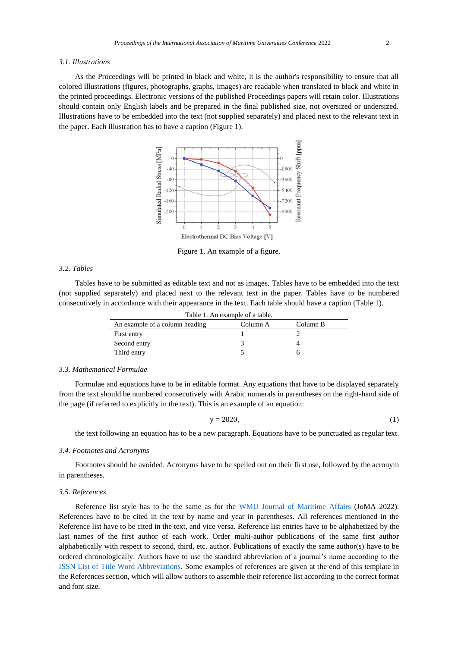#### *3.1. Illustrations*

As the Proceedings will be printed in black and white, it is the author's responsibility to ensure that all colored illustrations (figures, photographs, graphs, images) are readable when translated to black and white in the printed proceedings. Electronic versions of the published Proceedings papers will retain color. Illustrations should contain only English labels and be prepared in the final published size, not oversized or undersized. Illustrations have to be embedded into the text (not supplied separately) and placed next to the relevant text in the paper. Each illustration has to have a caption (Figure 1).



Figure 1. An example of a figure.

## *3.2. Tables*

Tables have to be submitted as editable text and not as images. Tables have to be embedded into the text (not supplied separately) and placed next to the relevant text in the paper. Tables have to be numbered consecutively in accordance with their appearance in the text. Each table should have a caption (Table 1).

| Table 1. An example of a table. |          |          |
|---------------------------------|----------|----------|
| An example of a column heading  | Column A | Column B |
| First entry                     |          |          |
| Second entry                    |          |          |
| Third entry                     |          |          |

#### *3.3. Mathematical Formulae*

Formulae and equations have to be in editable format. Any equations that have to be displayed separately from the text should be numbered consecutively with Arabic numerals in parentheses on the right-hand side of the page (if referred to explicitly in the text). This is an example of an equation:

$$
y = 2020,\tag{1}
$$

the text following an equation has to be a new paragraph. Equations have to be punctuated as regular text.

#### *3.4. Footnotes and Acronyms*

Footnotes should be avoided. Acronyms have to be spelled out on their first use, followed by the acronym in parentheses.

## *3.5. References*

Reference list style has to be the same as for the [WMU Journal of Maritime Affairs](https://www.springer.com/journal/13437/submission-guidelines) (JoMA 2022). References have to be cited in the text by name and year in parentheses. All references mentioned in the Reference list have to be cited in the text, and vice versa. Reference list entries have to be alphabetized by the last names of the first author of each work. Order multi-author publications of the same first author alphabetically with respect to second, third, etc. author. Publications of exactly the same author(s) have to be ordered chronologically. Authors have to use the standard abbreviation of a journal's name according to the [ISSN List of Title Word Abbreviations.](http://www.issn.org/services/online-services/access-to-the-ltwa/) Some examples of references are given at the end of this template in the References section, which will allow authors to assemble their reference list according to the correct format and font size.